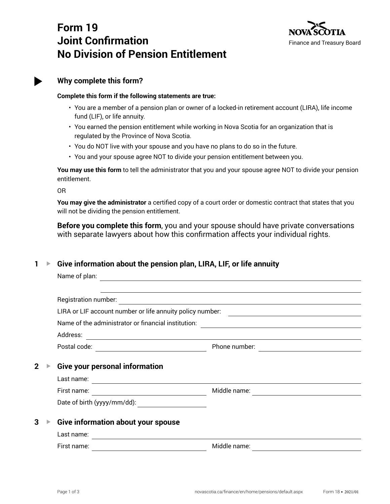# **Form 19 Joint Confirmation No Division of Pension Entitlement**



# **Why complete this form?**

### **Complete this form if the following statements are true:**

- You are a member of a pension plan or owner of a locked-in retirement account (LIRA), life income fund (LIF), or life annuity.
- You earned the pension entitlement while working in Nova Scotia for an organization that is regulated by the Province of Nova Scotia.
- You do NOT live with your spouse and you have no plans to do so in the future.
- You and your spouse agree NOT to divide your pension entitlement between you.

**You may use this form** to tell the administrator that you and your spouse agree NOT to divide your pension entitlement.

OR

**You may give the administrator** a certified copy of a court order or domestic contract that states that you will not be dividing the pension entitlement.

**Before you complete this form**, you and your spouse should have private conversations with separate lawyers about how this confirmation affects your individual rights.

# **1 ▶ Give information about the pension plan, LIRA, LIF, or life annuity**

| Name of plan:                                       |                                                                                                                                                                                                                                                                                                                                                                     |
|-----------------------------------------------------|---------------------------------------------------------------------------------------------------------------------------------------------------------------------------------------------------------------------------------------------------------------------------------------------------------------------------------------------------------------------|
|                                                     |                                                                                                                                                                                                                                                                                                                                                                     |
| Registration number:                                | <u> 1980 - Jan James Stein, fransk politik (d. 1980)</u>                                                                                                                                                                                                                                                                                                            |
|                                                     | <u> 1989 - Johann Stoff, fransk politik (d. 1989)</u>                                                                                                                                                                                                                                                                                                               |
| Name of the administrator or financial institution: | and the control of the control of the control of the control of the control of the control of the control of the                                                                                                                                                                                                                                                    |
| Address:                                            | <u> 1989 - Johann Stoff, amerikansk politiker (d. 1989)</u>                                                                                                                                                                                                                                                                                                         |
| Postal code:                                        | Phone number:                                                                                                                                                                                                                                                                                                                                                       |
| <b>Give your personal information</b>               |                                                                                                                                                                                                                                                                                                                                                                     |
|                                                     |                                                                                                                                                                                                                                                                                                                                                                     |
| First name:                                         | Middle name:                                                                                                                                                                                                                                                                                                                                                        |
| Date of birth (yyyy/mm/dd):                         |                                                                                                                                                                                                                                                                                                                                                                     |
| Give information about your spouse<br>Last name:    |                                                                                                                                                                                                                                                                                                                                                                     |
| First name:                                         | Middle name:                                                                                                                                                                                                                                                                                                                                                        |
|                                                     | LIRA or LIF account number or life annuity policy number:<br><u> 1980 - Johann Barn, fransk politik (</u><br>Last name:<br><u> 1980 - Johann Barbara, martxa alemaniar amerikan a</u><br><u> 1989 - Johann Barbara, martxa alemani</u> ar a<br><u> 1980 - Jan Barbara Barbara, politik eta politik eta politik eta politik eta politik eta politik eta politik </u> |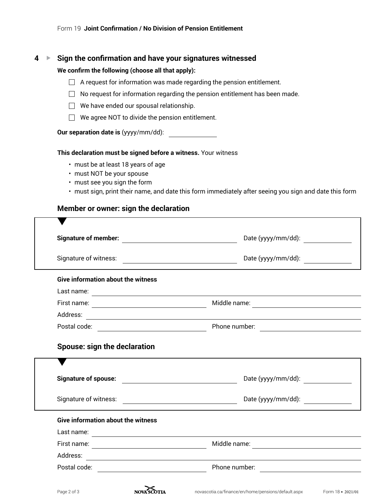### **4 ▶ Sign the confirmation and have your signatures witnessed**

#### **We confirm the following (choose all that apply):**

- $\Box$  A request for information was made regarding the pension entitlement.
- $\Box$  No request for information regarding the pension entitlement has been made.
- $\Box$  We have ended our spousal relationship.
- $\Box$  We agree NOT to divide the pension entitlement.

#### **Our separation date is** (yyyy/mm/dd):

#### **This declaration must be signed before a witness.** Your witness

- must be at least 18 years of age
- must NOT be your spouse
- must see you sign the form
- must sign, print their name, and date this form immediately after seeing you sign and date this form

### **Member or owner: sign the declaration**

| <b>Give information about the witness</b> |                                                                                                                                      |
|-------------------------------------------|--------------------------------------------------------------------------------------------------------------------------------------|
|                                           |                                                                                                                                      |
|                                           | Middle name:<br><u> 1989 - Jan Stein Stein, september 1989 - Stein Stein Stein Stein Stein Stein Stein Stein Stein Stein Stein S</u> |
|                                           |                                                                                                                                      |
|                                           |                                                                                                                                      |
| <b>Spouse: sign the declaration</b>       |                                                                                                                                      |
|                                           | Date (yyyy/mm/dd):                                                                                                                   |
|                                           | Date (yyyy/mm/dd):                                                                                                                   |
| <b>Give information about the witness</b> |                                                                                                                                      |
|                                           |                                                                                                                                      |
|                                           |                                                                                                                                      |